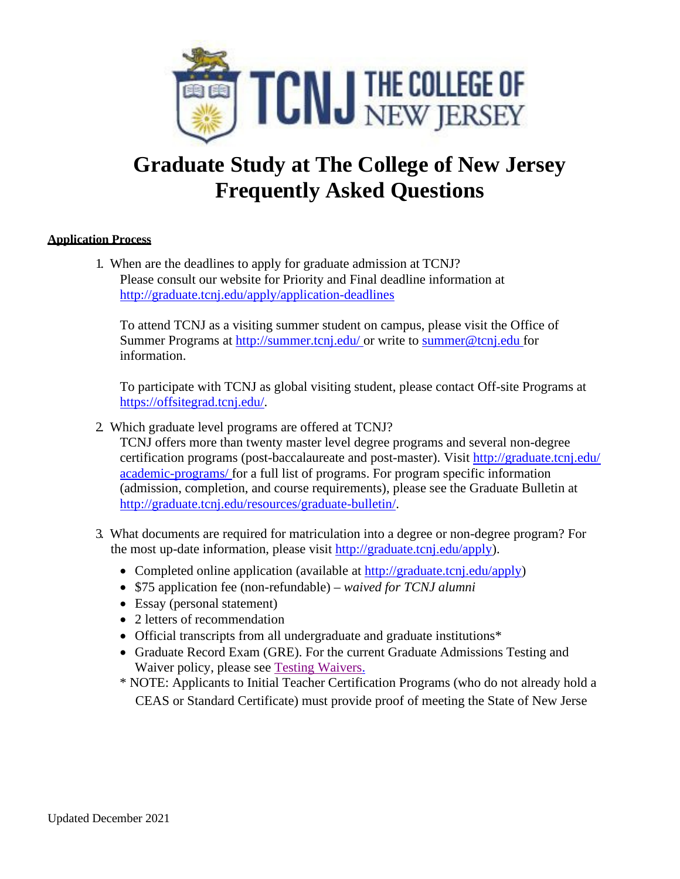

# **Graduate Study at The College of New Jersey Frequently Asked Questions**

# **Application Process**

1. When are the deadlines to apply for graduate admission at TCNJ? Please consult our website for Priority and Final deadline information at <http://graduate.tcnj.edu/apply/application-deadlines>

To attend TCNJ as a visiting summer student on campus, please visit the Office of Summer Programs at [http://summer.tcnj.edu/ o](http://summer.tcnj.edu/)r write to [summer@tcnj.edu f](mailto:summer@tcnj.edu)or information.

To participate with TCNJ as global visiting student, please contact Off-site Programs at [https://offsitegrad.tcnj.edu/.](https://offsitegrad.tcnj.edu/)

2. Which graduate level programs are offered at TCNJ?

TCNJ offers more than twenty master level degree programs and several non-degree certification programs (post-baccalaureate and post-master). Visit<http://graduate.tcnj.edu/> academic-programs/ [for a full list of programs. For program](http://graduate.tcnj.edu/academic-programs/) specific information (admission, completion, and course requirements), please see the Graduate Bulletin at [http://graduate.tcnj.edu/resources/graduate-bulletin/.](http://graduate.tcnj.edu/resources/graduate-bulletin/)

- 3. What documents are required for matriculation into a degree or non-degree program? For the most up-date information, please visit [http://graduate.tcnj.edu/apply\)](http://graduate.tcnj.edu/apply).
	- Completed online application (available at [http://graduate.tcnj.edu/apply\)](http://graduate.tcnj.edu/apply)
	- \$75 application fee (non-refundable) *waived for TCNJ alumni*
	- Essay (personal statement)
	- 2 letters of recommendation
	- [Official transcripts from all](http://graduate.tcnj.edu/apply) undergraduate and graduate institutions\*
	- Graduate Record Exam (GRE). For the current Graduate Admissions Testing and Waiver policy, please see [Testing Waivers.](https://graduate.tcnj.edu/wp-content/uploads/sites/223/2020/04/Graduate-Admission-Testing-Information-Waivers-Revised-Nov-2019.pdf)
	- \* NOTE: Applicants to Initial Teacher Certification Programs (who do not already hold a CEAS or Standard Certificate) must provide proof of meeting the State of New Jerse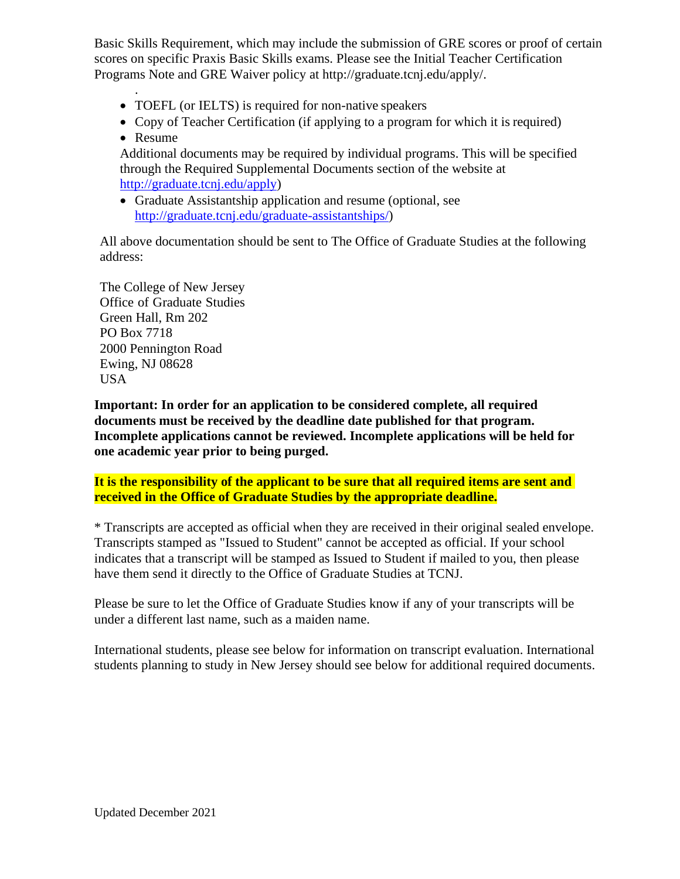Basic Skills Requirement, which may include the submission of GRE scores or proof of certain scores on specific Praxis Basic Skills exams. Please see the Initial Teacher Certification Programs Note and GRE Waiver policy at [http://graduate.tcnj.edu/apply/.](http://graduate.tcnj.edu/apply/)

- TOEFL (or IELTS) is required for non-native speakers
- Copy of Teacher Certification (if applying to a program for which it is required)
- Resume

.

Additional documents may be required by individual programs. This will be specified through the Required Supplemental Documents section of the website at [http://graduate.tcnj.edu/apply\)](http://graduate.tcnj.edu/apply)

• Graduate Assistantship application and resume (optional, see [http://graduate.tcnj.edu/graduate-assistantships/\)](http://graduate.tcnj.edu/graduate-assistantships/)

All above documentation should be sent to The Office of Graduate Studies at the following address:

The College of New Jersey Office of Graduate Studies Green Hall, Rm 202 PO Box 7718 2000 Pennington Road Ewing, NJ 08628 USA

**Important: In order for an application to be considered complete, all required documents must be received by the deadline date published for that program. Incomplete applications cannot be reviewed. Incomplete applications will be held for one academic year prior to being purged.**

**It is the responsibility of the applicant to be sure that all required items are sent and received in the Office of Graduate Studies by the appropriate deadline.**

\* Transcripts are accepted as official when they are received in their original sealed envelope. Transcripts stamped as "Issued to Student" cannot be accepted as official. If your school indicates that a transcript will be stamped as Issued to Student if mailed to you, then please have them send it directly to the Office of Graduate Studies at TCNJ.

Please be sure to let the Office of Graduate Studies know if any of your transcripts will be under a different last name, such as a maiden name.

International students, please see below for information on transcript evaluation. International students planning to study in New Jersey should see below for additional required documents.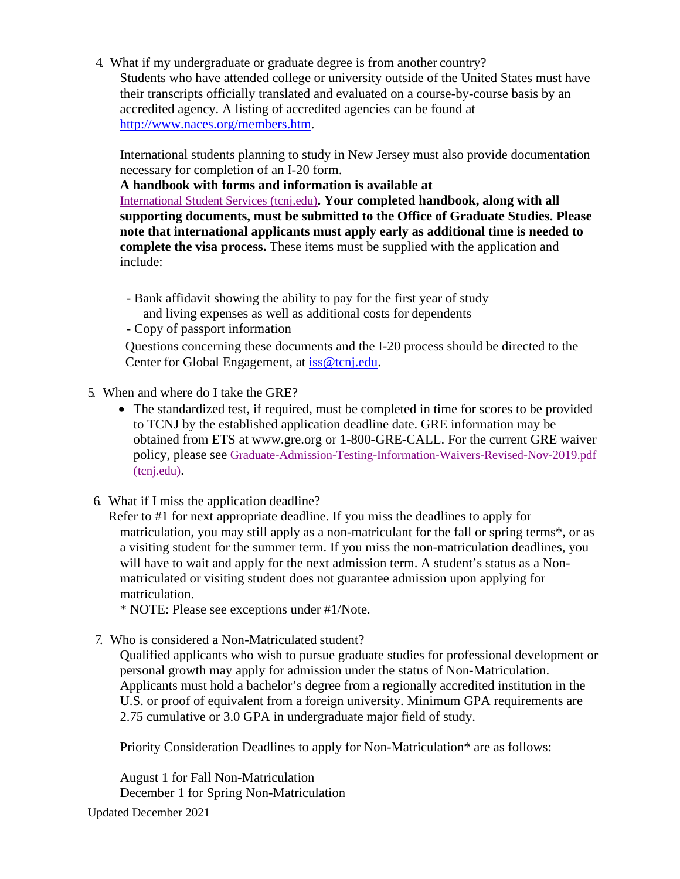4. What if my undergraduate or graduate degree is from another country? Students who have attended college or university outside of the United States must have their transcripts officially translated and evaluated on a course-by-course basis by an accredited agency. A listing of accredited agencies can be found at [http://www.naces.org/members.htm.](http://www.naces.org/members.htm)

International students planning to study in New Jersey must also provide documentation necessary for completion of an I-20 form.

**A handbook with forms and information is available at**

[International Student Services \(tcnj.edu\)](https://iss.tcnj.edu/)**[. Your completed handbook, along with all](https://iss.tcnj.edu/) supporting documents, must be submitted to the Office of Graduate Studies. Please note that international applicants must apply early as additional time is needed to complete the visa process.** These items must be supplied with the application and include:

- Bank affidavit showing the ability to pay for the first year of study and living expenses as well as additional costs for dependents
- Copy of passport information

Questions concerning these documents and the I-20 process should be directed to the Center for Global Engagement, at [iss@tcnj.edu.](mailto:iss@tcnj.edu)

- 5. When and where do I take the GRE?
	- The standardized test, if required, must be completed in time for scores to be provided to TCNJ by the established application deadline date. GRE information may be obtained from ETS at [www.gre.org](http://www.gre.org/) or 1-800-GRE-CALL. For the current GRE waiver policy, please see [Graduate-Admission-Testing-Information-Waivers-Revised-Nov-2019.pdf](https://graduate.tcnj.edu/wp-content/uploads/sites/223/2020/04/Graduate-Admission-Testing-Information-Waivers-Revised-Nov-2019.pdf)  [\(tcnj.edu\).](https://graduate.tcnj.edu/wp-content/uploads/sites/223/2020/04/Graduate-Admission-Testing-Information-Waivers-Revised-Nov-2019.pdf)
- 6. What if I miss the application deadline?

Refer to #1 for next appropriate deadline. If you miss the deadlines to apply for matriculation, you may still apply as a non-matriculant for the fall or spring terms\*, or as a visiting student for the summer term. If you miss the non-matriculation deadlines, you will have to wait and apply for the next admission term. A student's status as a Nonmatriculated or visiting student does not guarantee admission upon applying for matriculation.

\* NOTE: Please see exceptions under #1/Note.

7. Who is considered a Non-Matriculated student?

Qualified applicants who wish to pursue graduate studies for professional development or personal growth may apply for admission under the status of Non-Matriculation. Applicants must hold a bachelor's degree from a regionally accredited institution in the U.S. or proof of equivalent from a foreign university. Minimum GPA requirements are 2.75 cumulative or 3.0 GPA in undergraduate major field of study.

Priority Consideration Deadlines to apply for Non-Matriculation\* are as follows:

August 1 for Fall Non-Matriculation December 1 for Spring Non-Matriculation

Updated December 2021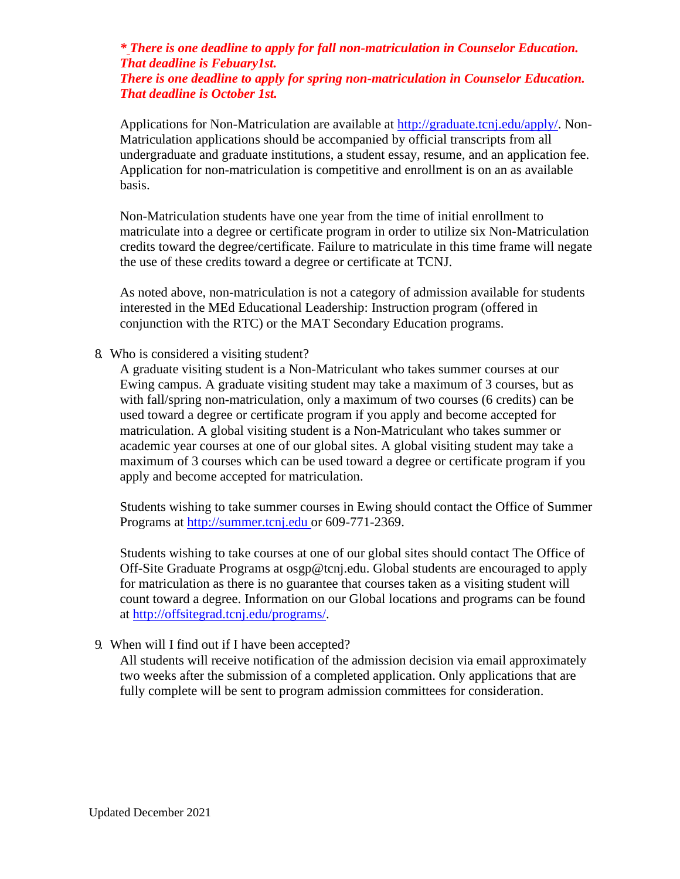# *\* There is one deadline to apply for fall non-matriculation in Counselor Education. That deadline is Febuary1st.*

*There is one deadline to apply for spring non-matriculation in Counselor Education. That deadline is October 1st.*

Applications for Non-Matriculation are available at [http://graduate.tcnj.edu/apply/.](http://graduate.tcnj.edu/apply/) Non-Matriculation applications should be accompanied by official transcripts from all undergraduate and graduate institutions, a student essay, resume, and an application fee. Application for non-matriculation is competitive and enrollment is on an as available basis.

Non-Matriculation students have one year from the time of initial enrollment to matriculate into a degree or certificate program in order to utilize six Non-Matriculation credits toward the degree/certificate. Failure to matriculate in this time frame will negate the use of these credits toward a degree or certificate at TCNJ.

As noted above, non-matriculation is not a category of admission available for students interested in the MEd Educational Leadership: Instruction program (offered in conjunction with the RTC) or the MAT Secondary Education programs.

8. Who is considered a visiting student?

A graduate visiting student is a Non-Matriculant who takes summer courses at our Ewing campus. A graduate visiting student may take a maximum of 3 courses, but as with fall/spring non-matriculation, only a maximum of two courses (6 credits) can be used toward a degree or certificate program if you apply and become accepted for matriculation. A global visiting student is a Non-Matriculant who takes summer or academic year courses at one of our global sites. A global visiting student may take a maximum of 3 courses which can be used toward a degree or certificate program if you apply and become accepted for matriculation.

Students wishing to take summer courses in Ewing should contact the Office of Summer Programs at [http://summer.tcnj.edu o](http://summer.tcnj.edu/)r 609-771-2369.

Students wishing to take courses at one of our global sites should contact The Office of Off-Site Graduate Programs at [osgp@tcnj.edu.](mailto:osgp@tcnj.edu) Global students are encouraged to apply for matriculation as there is no guarantee that courses taken as a visiting student will count toward a degree. Information on our Global locations and programs can be found at [http://offsitegrad.tcnj.edu/programs/.](http://offsitegrad.tcnj.edu/programs/)

9. When will I find out if I have been accepted?

All students will receive notification of the admission decision via email approximately two weeks after the submission of a completed application. Only applications that are fully complete will be sent to program admission committees for consideration.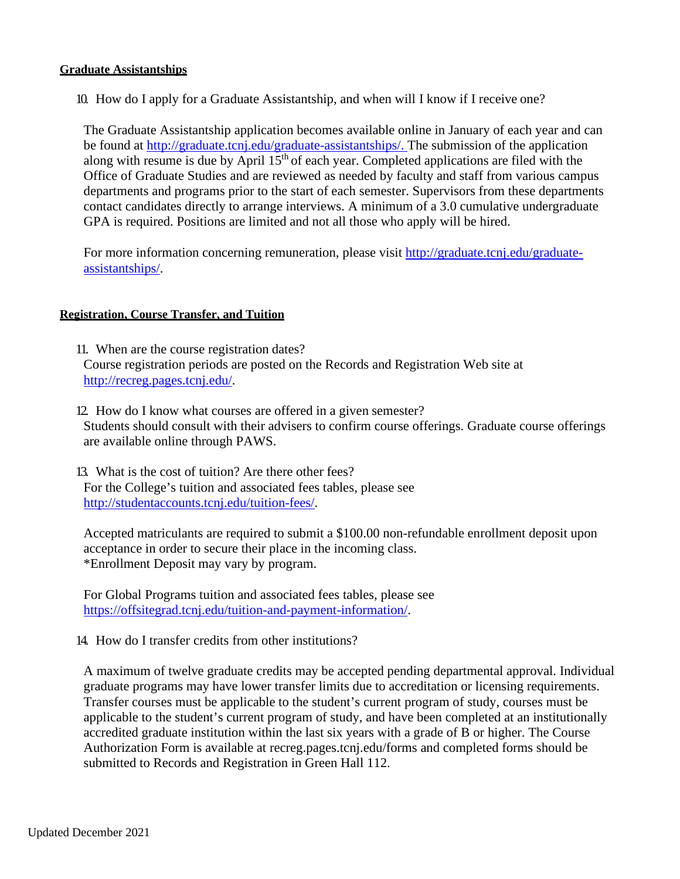#### **Graduate Assistantships**

10. How do I apply for a Graduate Assistantship, and when will I know if I receive one?

The Graduate Assistantship application becomes available online in January of each year and can be found at [http://graduate.tcnj.edu/graduate-assistantships/. T](http://graduate.tcnj.edu/graduate-assistantships/)he submission of the application along with resume is due by April 15<sup>th</sup> of each year. Completed applications are filed with the Office of Graduate Studies and are reviewed as needed by faculty and staff from various campus departments and programs prior to the start of each semester. Supervisors from these departments contact candidates directly to arrange interviews. A minimum of a 3.0 cumulative undergraduate GPA is required. Positions are limited and not all those who apply will be hired.

For more information concerning remuneration, please visit [http://graduate.tcnj.edu/graduate](http://graduate.tcnj.edu/graduate-assistantships/)[assistantships/.](http://graduate.tcnj.edu/graduate-assistantships/)

#### **Registration, Course Transfer, and Tuition**

- 11. When are the course registration dates? Course registration periods are posted on the Records and Registration Web site at [http://recreg.pages.tcnj.edu/.](http://recreg.pages.tcnj.edu/)
- 12. How do I know what courses are offered in a given semester? Students should consult with their advisers to confirm course offerings. Graduate course offerings are available online through PAWS.
- 13. What is the cost of tuition? Are there other fees? For the College's tuition and associated fees tables, please see [http://studentaccounts.tcnj.edu/tuition-fees/.](http://studentaccounts.tcnj.edu/tuition-fees/)

Accepted matriculants are required to submit a \$100.00 non-refundable enrollment deposit upon acceptance in order to secure their place in the incoming class. \*Enrollment Deposit may vary by program.

For Global Programs tuition and associated fees tables, please see [https://offsitegrad.tcnj.edu/tuition-and-payment-information/.](https://offsitegrad.tcnj.edu/tuition-and-payment-information/)

14. How do I transfer credits from other institutions?

A maximum of twelve graduate credits may be accepted pending departmental approval. Individual graduate programs may have lower transfer limits due to accreditation or licensing requirements. Transfer courses must be applicable to the student's current program of study, courses must be applicable to the student's current program of study, and have been completed at an institutionally accredited graduate institution within the last six years with a grade of B or higher. The Course Authorization Form is available at recreg.pages.tcnj.edu/forms and completed forms should be submitted to Records and Registration in Green Hall 112.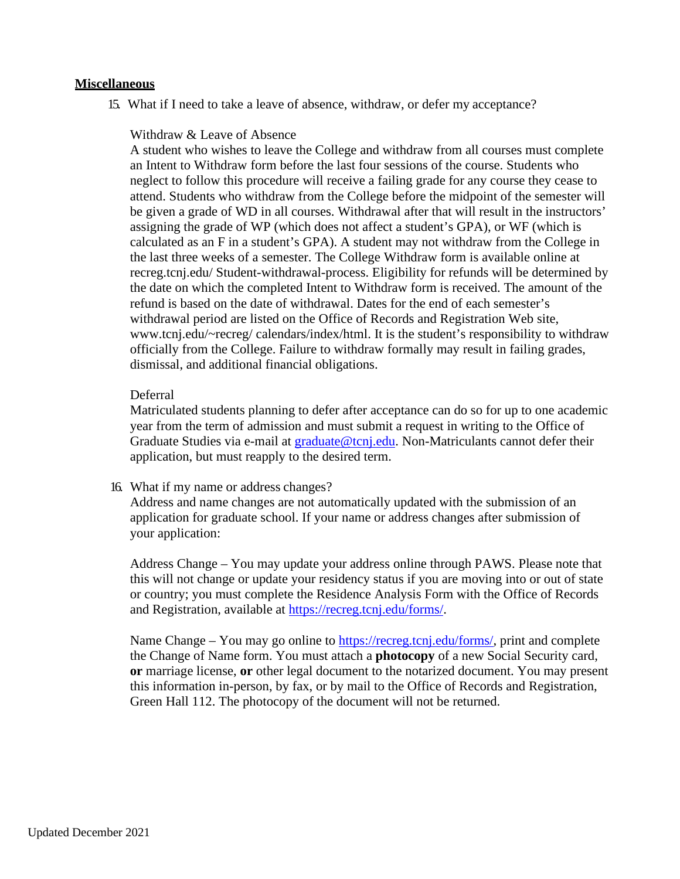#### **Miscellaneous**

15. What if I need to take a leave of absence, withdraw, or defer my acceptance?

#### Withdraw & Leave of Absence

A student who wishes to leave the College and withdraw from all courses must complete an Intent to Withdraw form before the last four sessions of the course. Students who neglect to follow this procedure will receive a failing grade for any course they cease to attend. Students who withdraw from the College before the midpoint of the semester will be given a grade of WD in all courses. Withdrawal after that will result in the instructors' assigning the grade of WP (which does not affect a student's GPA), or WF (which is calculated as an F in a student's GPA). A student may not withdraw from the College in the last three weeks of a semester. The College Withdraw form is available online at recreg.tcnj.edu/ Student-withdrawal-process. Eligibility for refunds will be determined by the date on which the completed Intent to Withdraw form is received. The amount of the refund is based on the date of withdrawal. Dates for the end of each semester's withdrawal period are listed on the Office of Records and Registration Web site, [www.tcnj.edu/~recreg/](http://www.tcnj.edu/%7Erecreg/) calendars/index/html. It is the student's responsibility to withdraw officially from the College. Failure to withdraw formally may result in failing grades, dismissal, and additional financial obligations.

#### Deferral

Matriculated students planning to defer after acceptance can do so for up to one academic year from the term of admission and must submit a request in writing to the Office of Graduate Studies via e-mail at [graduate@tcnj.edu.](mailto:graduate@tcnj.edu) Non-Matriculants cannot defer their application, but must reapply to the desired term.

16. What if my name or address changes?

Address and name changes are not automatically updated with the submission of an application for graduate school. If your name or address changes after submission of your application:

Address Change – You may update your address online through PAWS. Please note that this will not change or update your residency status if you are moving into or out of state or country; you must complete the Residence Analysis Form with the Office of Records and Registration, available at [https://recreg.tcnj.edu/forms/.](https://recreg.tcnj.edu/forms/)

Name Change – You may go online to https://recreg.tcnj.edu/forms/, print and complete the Change of Name form. You must attach a **photocopy** of a new Social Security card, **or** marriage license, **or** other legal document to the notarized document. You may present this information in-person, by fax, or by mail to the Office of Records and Registration, Green Hall 112. The photocopy of the document will not be returned.